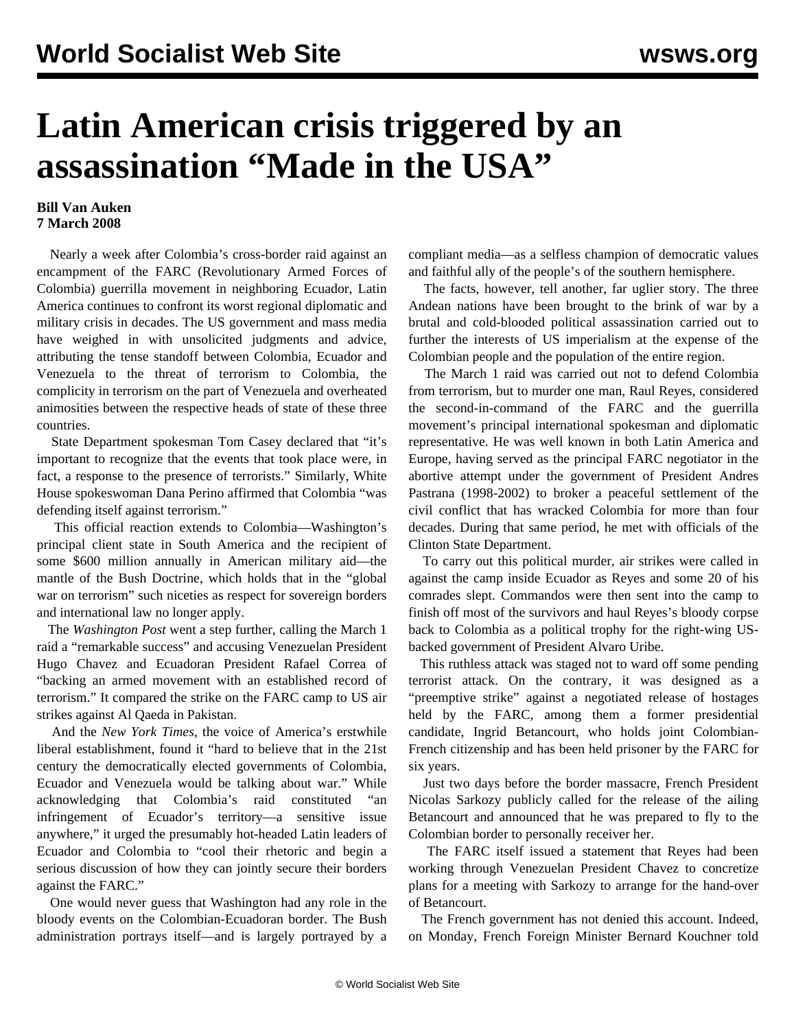## **Latin American crisis triggered by an assassination "Made in the USA"**

## **Bill Van Auken 7 March 2008**

 Nearly a week after Colombia's cross-border raid against an encampment of the FARC (Revolutionary Armed Forces of Colombia) guerrilla movement in neighboring Ecuador, Latin America continues to confront its worst regional diplomatic and military crisis in decades. The US government and mass media have weighed in with unsolicited judgments and advice, attributing the tense standoff between Colombia, Ecuador and Venezuela to the threat of terrorism to Colombia, the complicity in terrorism on the part of Venezuela and overheated animosities between the respective heads of state of these three countries.

 State Department spokesman Tom Casey declared that "it's important to recognize that the events that took place were, in fact, a response to the presence of terrorists." Similarly, White House spokeswoman Dana Perino affirmed that Colombia "was defending itself against terrorism."

 This official reaction extends to Colombia—Washington's principal client state in South America and the recipient of some \$600 million annually in American military aid—the mantle of the Bush Doctrine, which holds that in the "global war on terrorism" such niceties as respect for sovereign borders and international law no longer apply.

 The *Washington Post* went a step further, calling the March 1 raid a "remarkable success" and accusing Venezuelan President Hugo Chavez and Ecuadoran President Rafael Correa of "backing an armed movement with an established record of terrorism." It compared the strike on the FARC camp to US air strikes against Al Qaeda in Pakistan.

 And the *New York Times*, the voice of America's erstwhile liberal establishment, found it "hard to believe that in the 21st century the democratically elected governments of Colombia, Ecuador and Venezuela would be talking about war." While acknowledging that Colombia's raid constituted "an infringement of Ecuador's territory—a sensitive issue anywhere," it urged the presumably hot-headed Latin leaders of Ecuador and Colombia to "cool their rhetoric and begin a serious discussion of how they can jointly secure their borders against the FARC."

 One would never guess that Washington had any role in the bloody events on the Colombian-Ecuadoran border. The Bush administration portrays itself—and is largely portrayed by a compliant media—as a selfless champion of democratic values and faithful ally of the people's of the southern hemisphere.

 The facts, however, tell another, far uglier story. The three Andean nations have been brought to the brink of war by a brutal and cold-blooded political assassination carried out to further the interests of US imperialism at the expense of the Colombian people and the population of the entire region.

 The March 1 raid was carried out not to defend Colombia from terrorism, but to murder one man, Raul Reyes, considered the second-in-command of the FARC and the guerrilla movement's principal international spokesman and diplomatic representative. He was well known in both Latin America and Europe, having served as the principal FARC negotiator in the abortive attempt under the government of President Andres Pastrana (1998-2002) to broker a peaceful settlement of the civil conflict that has wracked Colombia for more than four decades. During that same period, he met with officials of the Clinton State Department.

 To carry out this political murder, air strikes were called in against the camp inside Ecuador as Reyes and some 20 of his comrades slept. Commandos were then sent into the camp to finish off most of the survivors and haul Reyes's bloody corpse back to Colombia as a political trophy for the right-wing USbacked government of President Alvaro Uribe.

 This ruthless attack was staged not to ward off some pending terrorist attack. On the contrary, it was designed as a "preemptive strike" against a negotiated release of hostages held by the FARC, among them a former presidential candidate, Ingrid Betancourt, who holds joint Colombian-French citizenship and has been held prisoner by the FARC for six years.

 Just two days before the border massacre, French President Nicolas Sarkozy publicly called for the release of the ailing Betancourt and announced that he was prepared to fly to the Colombian border to personally receiver her.

 The FARC itself issued a statement that Reyes had been working through Venezuelan President Chavez to concretize plans for a meeting with Sarkozy to arrange for the hand-over of Betancourt.

 The French government has not denied this account. Indeed, on Monday, French Foreign Minister Bernard Kouchner told